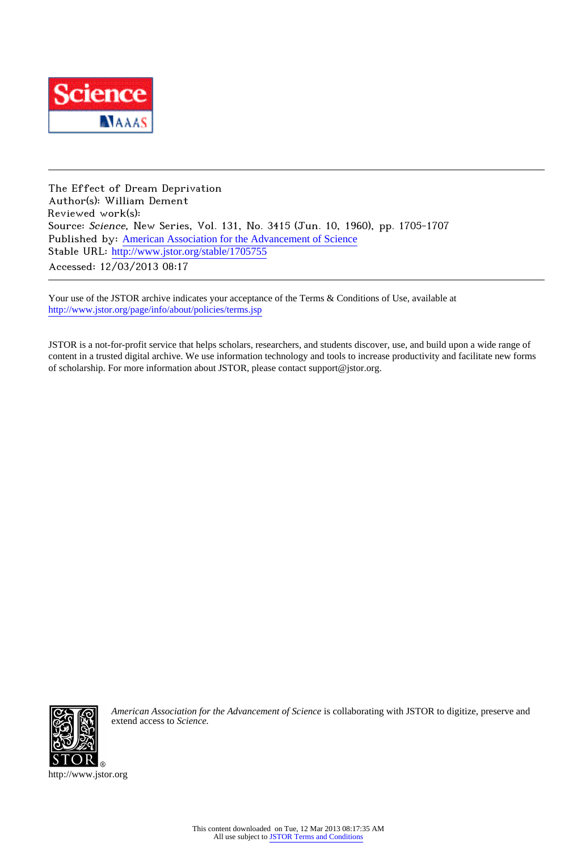

The Effect of Dream Deprivation Author(s): William Dement Reviewed work(s): Source: Science, New Series, Vol. 131, No. 3415 (Jun. 10, 1960), pp. 1705-1707 Published by: [American Association for the Advancement of Science](http://www.jstor.org/action/showPublisher?publisherCode=aaas) Stable URL: [http://www.jstor.org/stable/1705755](http://www.jstor.org/stable/1705755?origin=JSTOR-pdf) Accessed: 12/03/2013 08:17

Your use of the JSTOR archive indicates your acceptance of the Terms & Conditions of Use, available at <http://www.jstor.org/page/info/about/policies/terms.jsp>

JSTOR is a not-for-profit service that helps scholars, researchers, and students discover, use, and build upon a wide range of content in a trusted digital archive. We use information technology and tools to increase productivity and facilitate new forms of scholarship. For more information about JSTOR, please contact support@jstor.org.



*American Association for the Advancement of Science* is collaborating with JSTOR to digitize, preserve and extend access to *Science.*

http://www.jstor.org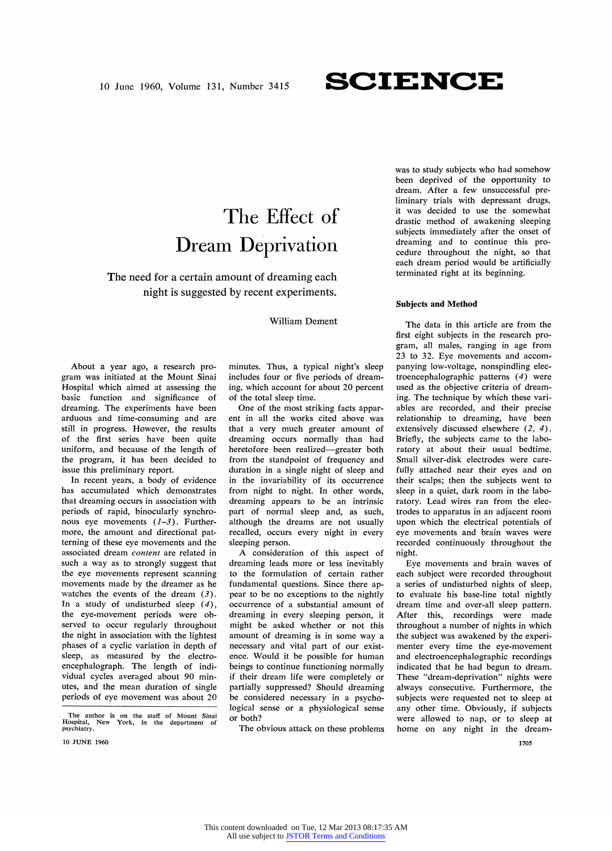## **SCIENCE**

# The Effect of **Dream Deprivation**

**The need for a certain amount of dreaming each**  right is suggested by recent experiments.

### **William Dement**

**About a year ago, a research program was initiated at the Mount Sinai Hospital which aimed at assessing the basic function and significance of dreaming. The experiments have been arduous and time-consuming and are still in progress. However, the results of the first series have been quite uniform, and because of the length of the program, it has been decided to issue this preliminary report.** 

**In recent years, a body of evidence has accumulated which demonstrates that dreaming occurs in association with periods of rapid, binocularly synchronous eye movements (1-3). Furthermore, the amount and directional patterning of these eye movements and the associated dream content are related in such a way as to strongly suggest that the eye movements represent scanning movements made by the dreamer as he watches the events of the dream (3). In a study of undisturbed sleep (4), the eye-movement periods were observed to occur regularly throughout the night in association with the lightest phases of a cyclic variation in depth of sleep, as measured by the electroencephalograph. The length of individual cycles averaged about 90 minutes, and the mean duration of single periods of eye movement was about 20** 

The author is on the staff of Mount Sinai **Hospital, New York, in the department of psychiatry.** 

**10 JUNE 1960** 

**minutes. Thus, a typical night's sleep includes four or five periods of dreaming, which account for about 20 percent of the total sleep time.** 

One of the most striking facts appar**ent in all the works cited above was that a very much greater amount of dreaming occurs normally than had**  heretofore been realized-greater both from the standpoint of frequency and **duration in a single night of sleep and in the invariability of its occurrence from night to night. In other words, dreaming appears to be an intrinsic part of normal sleep and, as such, although the dreams are not usually recalled, occurs every night in every sleeping person.** 

**A consideration of this aspect of dreaming leads more or less inevitably to the formulation of certain rather fundamental questions. Since there appear to be no exceptions to the nightly occurrence of a substantial amount of dreaming in every sleeping person, it might be asked whether or not this amount of dreaming is in some way a necessary and vital part of our existence. Would it be possible for human beings to continue functioning normally if their dream life were completely or partially suppressed? Should dreaming be considered necessary in a psychological sense or a physiological sense or both?** 

**The obvious attack on these problems** 

**was to study subjects who had somehow been deprived of the opportunity to dream. After a few unsuccessful preliminary trials with depressant drugs, it was decided to use the somewhat drastic method of awakening sleeping subjects immediately after the onset of dreaming and to continue this procedure throughout the night, so that each dream period would be artificially terminated right at its beginning.** 

#### **Subjects and Method**

**The data in this article are from the first eight subjects in the research program, all males, ranging in age from 23 to 32. Eye movements and accompanying low-voltage, nonspindling electroencephalographic patterns (4 ) were used as the objective criteria of dreaming. The technique by which these variables are recorded, and their precise relationship to dreaming, have been extensively discussed elsewhere (2, 4).**  Briefly, the subjects came to the labo**ratory at about their usual bedtime. Small silver-disk electrodes were carefully attached near their eyes and on their scalps; then the subjects went to sleep in a quiet, dark room in the laboratory. Lead wires ran from the electrodes to apparatus in an adjacent room upon which the electrical potentials of**  eye movements and brain waves were **recorded continuously throughout the night.** 

**Eye movements and brain waves of each subject were recorded throughout**  a series of undisturbed nights of sleep, **to evaluate his base-line total nightly dream time and over-all sleep pattern. After this, recordings were made throughout a number of nights in which the subject was awakened by the experimenter every time the eye-movement and electroencephalographic recordings indicated that he had begun to dream. These "dream-deprivation" nights were always consecutive. Furthermore, the subjects were requested not to sleep at any other time. Obviously, if subjects were allowed to nap, or to sleep at home on any night in the dream-**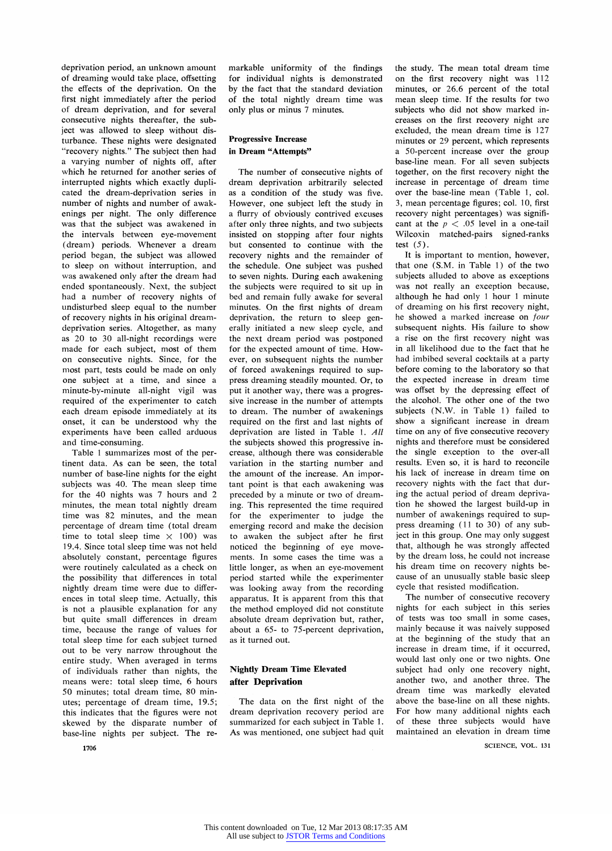deprivation period, an unknown amount of dreaming would take place, offsetting **the effects of the deprivation. On the first night immediately after the period of dream deprivation, and for several consecutive nights thereafter, the subject was allowed to sleep without disturbance. These nights were designated "recovery nights." The subject then had a varying number of nights ofT, after which he returned for another series of interrupted nights which exactly duplicated the dream-deprivation series in number of nights and number of awakenings per night. The only difference was that the subject was awakened in the intervals between eye-movement ( dream ) periods. Whenever a dream period began, the subject was allowed to sleep on without interruption, and was awakened only after the dream had ended spontaneously. Next, the subject had a number of recovery nights of undisturbed sleep equal to the number of recovery nights in his original dreamdeprivation series. Altogether, as many as 20 to 30 all-night recordings were made for each subject, most of them on consecutive nights. Since, for the most part, tests could be made on only one subject at a time, and since a minute-by-minute all-night vigil was required of the experimenter to catch each dream episode immediately at its onset, it can be understood why the experiments have been called arduous and time-consuming.** 

**Table 1 summarizes most of the pertinent data. As can be seen, the total number of base-line nights for the eight subjects was 40. The mean sleep time for the 40 nights was 7 hours and 2 minutes, the mean total nightly dream time was 82 minutes, and the mean percentage of dream time (total dream**  time to total sleep time  $\times$  100) was **19.4. Since total sleep time was not held absolutely constant, percentage figures were routinely calculated as a check on the possibility that differences in total**  nightly dream time were due to differ**ences in total sleep time. Actually, this is not a plausible explanation for any but quite small differences in dream time, because the range of values for total sleep time for each subject turned out to be very narrow throughout the entire study. When averaged in terms of individuals rather than nights, the means were: total sleep time, 6 hours 50 minutes; total dream time, 80 minutes; percentage of dream time, 19.5; this indicates that the figures were not skewed by the disparate number of base-line nights per subject. The re-** **markable uniformity of the findings for individual nights is demonstrated by the fact that the standard deviation of the total nightly dream time was only plus or minus 7 minutes.** 

## **Progressive Increase in Dream "Attempts"**

**The number of consecutive nights of dream deprivation arbitrarily selected as a condition of the study was five. However, one subject left the study in a flurry of obviously contrived excuses after only three nights, and two subjects insisted on stopping after four nights but consented to continue with the recovery nights and the remainder of the schedule. One subject was pushed to seven nights. During each awakening the subjects were required to sit up in bed and remain fully awake for several minutes. On the first nights of dream deprivation, the return to sleep gen**erally initiated a new sleep cycle, and **the next dream period was postponed**  for the expected amount of time. How**ever, on subsequent nights the number of forced awakenings required to suppress dreaming steadily mounted. Or, to put it another way, there was a progressive increase in the number of attempts to dream.- The number of awakenings required on the first and last nights of deprivation are listed in Table 1. All the subjects showed this progressive increase, although there was considerable variation in the starting number and the amount of the increase. An important point is that each awakening was preceded by a minute or two of dreaming. This represented the time required for the experimenter to judge the emerging record and make the decision to awaken the subject after he first noticed the beginning of eye movements. In some cases the time was a little longer, as when an eye-movement period started while the experimenter was looking away from the recording apparatus. It is apparent from this that the method employed did not constitute absolute dream deprivation but, rather, about a 65- to 75-percent deprivation, as it turned out.** 

## **Nightly Dream Time Elevated after Deprivation**

**The data on the first night of the dream deprivation recovery period are summarized for each subject in Table 1. As was mentioned, one subject had quit** 

**the study. The mean total dream time**  on the first recovery night was 112 **minutes, or 26.6 percent of the total mean sleep time. If the results for two subjects who did not show marked increases on the first recovery night are excluded, the mean dream time is 127 minutes or 29 percent, which represents a 50-percent increase over the group base-line mean. For all seven subjects**  together, on the first recovery night the **increase in percentage of dream time over the base-line mean (Table 1, col. 3, mean percentage figures; col. 10, first recovery night percentages) was signifi**cant at the  $p < .05$  level in a one-tail **Wilcoxin matched-pairs signed-ranks test (5 ) .** 

**It is important to mention, however, that one (S.M. in Table l) of the two subjects alluded to above as exceptions**  was not really an exception because, **although he had only 1 hour 1 minute of dreaming on his first recovery night, he showed a marked increase on four subsequent nights. His failure to show a rise on the first recovery night was in all likelihood due to the fact that he had imbibed several cocktails at a party before coming to the laboratory so that the expected increase in dream time**  was offset by the depressing effect of **the alcoho]. The other one of the tWQ**  subjects (N.W. in Table 1) failed to **show a significant increase in dream time on any of five consecutive recovery nights and therefore must be considered the single exception to the over-all results. Even so, it is hard to reconcile his lack of increase in dream time on**  recovery nights with the fact that during the actual period of dream depriva**tion he showed the largest build-up in number of awakenings required to sup press dreaming (ll to 30) of any subject in this group. One may only suggest**  that, although he was strongly affected **by the dream loss, he could not increase**  his dream time on recovery nights be**cause of an unusually stable basic sleep cycle that resisted modification.** 

**The number of consecutive recovery nights for each subject in this series of tests was too small in some cases, mainly because it was naively supposed at the beginning of the study that an increase in dream time, if it occurred, would last only one or two nights. One subject had only one recovery night, another two, and another three. The dream time was markedly elevated. above the base-line on all these nights. For how many additional nights each of these three subjects- would have maintained an elevation in dream time** 

**SCIENCE, VOL. 131**